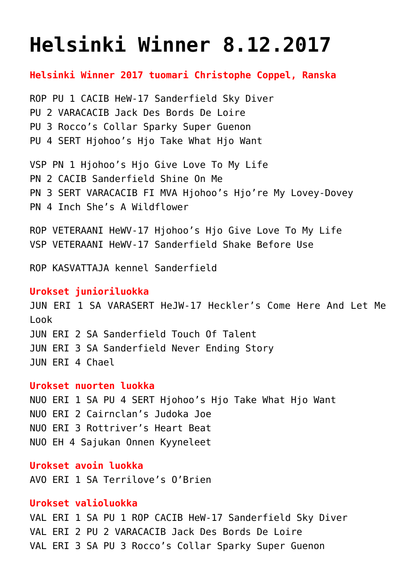# **[Helsinki Winner 8.12.2017](https://www.cairnterrierikerho.fi/nayttelyt/helsinki-winner-8-12-2017/)**

**Helsinki Winner 2017 tuomari Christophe Coppel, Ranska**

ROP PU 1 CACIB HeW-17 Sanderfield Sky Diver PU 2 VARACACIB Jack Des Bords De Loire PU 3 Rocco's Collar Sparky Super Guenon PU 4 SERT Hjohoo's Hjo Take What Hjo Want

VSP PN 1 Hjohoo's Hjo Give Love To My Life PN 2 CACIB Sanderfield Shine On Me PN 3 SERT VARACACIB FI MVA Hjohoo's Hjo're My Lovey-Dovey PN 4 Inch She's A Wildflower

ROP VETERAANI HeWV-17 Hjohoo's Hjo Give Love To My Life VSP VETERAANI HeWV-17 Sanderfield Shake Before Use

ROP KASVATTAJA kennel Sanderfield

#### **Urokset junioriluokka**

JUN ERI 1 SA VARASERT HeJW-17 Heckler's Come Here And Let Me Look JUN ERI 2 SA Sanderfield Touch Of Talent JUN ERI 3 SA Sanderfield Never Ending Story JUN ERI 4 Chael

## **Urokset nuorten luokka**

NUO ERI 1 SA PU 4 SERT Hjohoo's Hjo Take What Hjo Want NUO ERI 2 Cairnclan's Judoka Joe NUO ERI 3 Rottriver's Heart Beat NUO EH 4 Sajukan Onnen Kyyneleet

# **Urokset avoin luokka**

AVO ERI 1 SA Terrilove's O'Brien

# **Urokset valioluokka**

VAL ERI 1 SA PU 1 ROP CACIB HeW-17 Sanderfield Sky Diver VAL ERI 2 PU 2 VARACACIB Jack Des Bords De Loire VAL ERI 3 SA PU 3 Rocco's Collar Sparky Super Guenon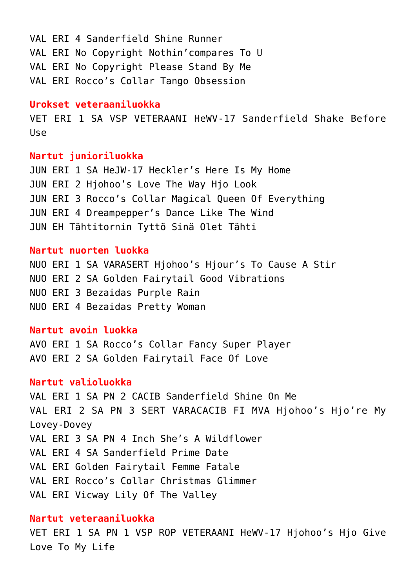VAL ERI 4 Sanderfield Shine Runner VAL ERI No Copyright Nothin'compares To U VAL ERI No Copyright Please Stand By Me VAL ERI Rocco's Collar Tango Obsession

# **Urokset veteraaniluokka**

VET ERI 1 SA VSP VETERAANI HeWV-17 Sanderfield Shake Before Use

#### **Nartut junioriluokka**

JUN ERI 1 SA HeJW-17 Heckler's Here Is My Home JUN ERI 2 Hjohoo's Love The Way Hjo Look JUN ERI 3 Rocco's Collar Magical Queen Of Everything JUN ERI 4 Dreampepper's Dance Like The Wind JUN EH Tähtitornin Tyttö Sinä Olet Tähti

## **Nartut nuorten luokka**

NUO ERI 1 SA VARASERT Hjohoo's Hjour's To Cause A Stir NUO ERI 2 SA Golden Fairytail Good Vibrations NUO ERI 3 Bezaidas Purple Rain NUO ERI 4 Bezaidas Pretty Woman

## **Nartut avoin luokka**

AVO ERI 1 SA Rocco's Collar Fancy Super Player AVO ERI 2 SA Golden Fairytail Face Of Love

## **Nartut valioluokka**

VAL ERI 1 SA PN 2 CACIB Sanderfield Shine On Me VAL ERI 2 SA PN 3 SERT VARACACIB FI MVA Hjohoo's Hjo're My Lovey-Dovey VAL ERI 3 SA PN 4 Inch She's A Wildflower VAL ERI 4 SA Sanderfield Prime Date VAL ERI Golden Fairytail Femme Fatale VAL ERI Rocco's Collar Christmas Glimmer VAL ERI Vicway Lily Of The Valley

# **Nartut veteraaniluokka**

VET ERI 1 SA PN 1 VSP ROP VETERAANI HeWV-17 Hjohoo's Hjo Give Love To My Life